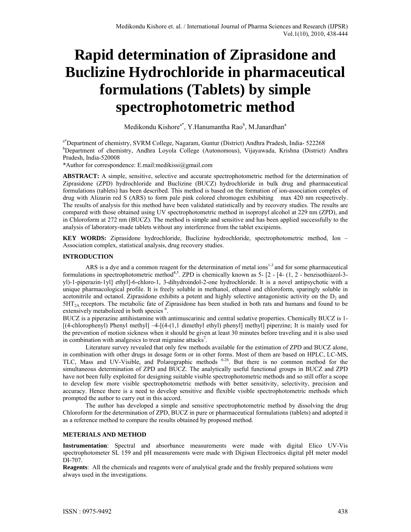# **Rapid determination of Ziprasidone and Buclizine Hydrochloride in pharmaceutical formulations (Tablets) by simple spectrophotometric method**

Medikondu Kishore<sup>a\*</sup>, Y.Hanumantha Rao<sup>b</sup>, M.Janardhan<sup>a</sup>

<sup>a\*</sup>Department of chemistry, SVRM College, Nagaram, Guntur (District) Andhra Pradesh, India-522268 Department of chemistry, Andhra Loyola College (Autonomous), Vijayawada, Krishna (District) Andhra Pradesh, India-520008

\*Author for correspondence: E.mail:medikissi@gmail.com

**ABSTRACT:** A simple, sensitive, selective and accurate spectrophotometric method for the determination of Ziprasidone (ZPD) hydrochloride and Buclizine (BUCZ) hydrochloride in bulk drug and pharmaceutical formulations (tablets) has been described. This method is based on the formation of ion-association complex of drug with Alizarin red S (ARS) to form pale pink colored chromogen exhibiting max 420 nm respectively. The results of analysis for this method have been validated statistically and by recovery studies. The results are compared with those obtained using UV spectrophotometric method in isopropyl alcohol at 229 nm (ZPD), and in Chloroform at 272 nm (BUCZ). The method is simple and sensitive and has been applied successfully to the analysis of laboratory-made tablets without any interference from the tablet excipients.

**KEY WORDS:** Ziprasidone hydrochloride, Buclizine hydrochloride, spectrophotometric method, Ion – Association complex, statistical analysis, drug recovery studies.

## **INTRODUCTION**

ARS is a dye and a common reagent for the determination of metal ions<sup>1-3</sup> and for some pharmaceutical formulations in spectrophotometric method<sup>4,5</sup>. ZPD is chemically known as  $5 - [2 - [4 - (1, 2 - benzisothiazol-3-1]]$ yl)-1-piperazin-1yl] ethyl]-6-chloro-1, 3-dihydroindol-2-one hydrochloride. It is a novel antipsychotic with a unique pharmacological profile. It is freely soluble in methanol, ethanol and chloroform, sparingly soluble in acetonitrile and octanol. Ziprasidone exhibits a potent and highly selective antagonistic activity on the  $D_2$  and  $5HT<sub>2A</sub>$  receptors. The metabolic fate of Ziprasidone has been studied in both rats and humans and found to be extensively metabolized in both species <sup>6</sup>.

BUCZ is a piperazine antihistamine with antimuscarinic and central sedative properties. Chemically BUCZ is 1- [(4-chlorophenyl) Phenyl methyl] –4-[(4-(1,1 dimethyl ethyl) phenyl] methyl] piperzine; It is mainly used for the prevention of motion sickness when it should be given at least 30 minutes before traveling and it is also used in combination with analgesics to treat migraine attacks<sup>7</sup>.

Literature survey revealed that only few methods available for the estimation of ZPD and BUCZ alone, in combination with other drugs in dosage form or in other forms. Most of them are based on HPLC, LC-MS, TLC, Mass and UV-Visible, and Polarographic methods <sup>6-26</sup>. But there is no common method for the simultaneous determination of ZPD and BUCZ. The analytically useful functional groups in BUCZ and ZPD have not been fully exploited for designing suitable visible spectrophotometric methods and so still offer a scope to develop few more visible spectrophotometric methods with better sensitivity, selectivity, precision and accuracy. Hence there is a need to develop sensitive and flexible visible spectrophotometric methods which prompted the author to carry out in this accord.

The author has developed a simple and sensitive spectrophotometric method by dissolving the drug Chloroform for the determination of ZPD, BUCZ in pure or pharmaceutical formulations (tablets) and adopted it as a reference method to compare the results obtained by proposed method.

## **METERIALS AND METHOD**

**Instrumentation**: Spectral and absorbance measurements were made with digital Elico UV-Vis spectrophotometer SL 159 and pH measurements were made with Digisun Electronics digital pH meter model DI-707.

**Reagents**: All the chemicals and reagents were of analytical grade and the freshly prepared solutions were always used in the investigations.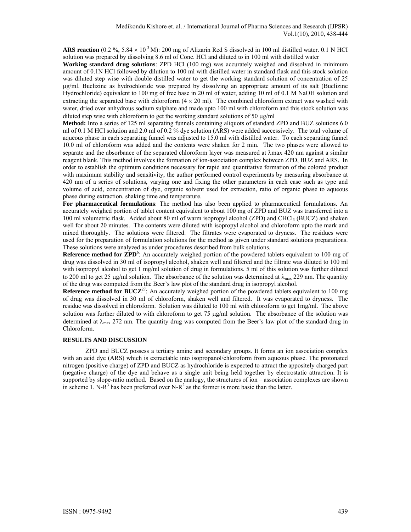**ARS reaction** (0.2 %, 5.84  $\times$  10<sup>-3</sup> M): 200 mg of Alizarin Red S dissolved in 100 ml distilled water. 0.1 N HCI solution was prepared by dissolving 8.6 ml of Conc. HCl and diluted to in 100 ml with distilled water

**Working standard drug solutions**: ZPD HCl (100 mg) was accurately weighed and dissolved in minimum amount of 0.1N HCl followed by dilution to 100 ml with distilled water in standard flask and this stock solution was diluted step wise with double distilled water to get the working standard solution of concentration of 25 µg/ml. Buclizine as hydrochloride was prepared by dissolving an appropriate amount of its salt (Buclizine Hydrochloride) equivalent to 100 mg of free base in 20 ml of water, adding 10 ml of 0.1 M NaOH solution and extracting the separated base with chloroform  $(4 \times 20 \text{ ml})$ . The combined chloroform extract was washed with water, dried over anhydrous sodium sulphate and made upto 100 ml with chloroform and this stock solution was diluted step wise with chloroform to get the working standard solutions of 50  $\mu$ g/ml

**Method:** Into a series of 125 ml separating funnels containing aliquots of standard ZPD and BUZ solutions 6.0 ml of 0.1 M HCl solution and 2.0 ml of 0.2 % dye solution (ARS) were added successively. The total volume of aqueous phase in each separating funnel was adjusted to 15.0 ml with distilled water. To each separating funnel 10.0 ml of chloroform was added and the contents were shaken for 2 min. The two phases were allowed to separate and the absorbance of the separated chloroform layer was measured at  $\lambda$ max 420 nm against a similar reagent blank. This method involves the formation of ion-association complex between ZPD, BUZ and ARS. In order to establish the optimum conditions necessary for rapid and quantitative formation of the colored product with maximum stability and sensitivity, the author performed control experiments by measuring absorbance at 420 nm of a series of solutions, varying one and fixing the other parameters in each case such as type and volume of acid, concentration of dye, organic solvent used for extraction, ratio of organic phase to aqueous phase during extraction, shaking time and temperature.

**For pharmaceutical formulations**: The method has also been applied to pharmaceutical formulations. An accurately weighed portion of tablet content equivalent to about 100 mg of ZPD and BUZ was transferred into a 100 ml volumetric flask. Added about 80 ml of warm isopropyl alcohol (ZPD) and CHCl<sub>3</sub> (BUCZ) and shaken well for about 20 minutes. The contents were diluted with isopropyl alcohol and chloroform upto the mark and mixed thoroughly. The solutions were filtered. The filtrates were evaporated to dryness. The residues were used for the preparation of formulation solutions for the method as given under standard solutions preparations. These solutions were analyzed as under procedures described from bulk solutions.

**Reference method for ZPD**<sup>6</sup>: An accurately weighed portion of the powdered tablets equivalent to 100 mg of drug was dissolved in 30 ml of isopropyl alcohol, shaken well and filtered and the filtrate was diluted to 100 ml with isopropyl alcohol to get 1 mg/ml solution of drug in formulations. 5 ml of this solution was further diluted to 200 ml to get 25 µg/ml solution. The absorbance of the solution was determined at  $\lambda_{\text{max}}$  229 nm. The quantity of the drug was computed from the Beer's law plot of the standard drug in isopropyl alcohol.

**Reference method for BUCZ<sup>27</sup>:** An accurately weighed portion of the powdered tablets equivalent to 100 mg of drug was dissolved in 30 ml of chloroform, shaken well and filtered. It was evaporated to dryness. The residue was dissolved in chloroform. Solution was diluted to 100 ml with chloroform to get 1mg/ml. The above solution was further diluted to with chloroform to get 75  $\mu$ g/ml solution. The absorbance of the solution was determined at  $\lambda_{\text{max}}$  272 nm. The quantity drug was computed from the Beer's law plot of the standard drug in Chloroform.

# **RESULTS AND DISCUSSION**

ZPD and BUCZ possess a tertiary amine and secondary groups. It forms an ion association complex with an acid dye (ARS) which is extractable into isopropanol/chloroform from aqueous phase. The protonated nitrogen (positive charge) of ZPD and BUCZ as hydrochloride is expected to attract the appositely charged part (negative charge) of the dye and behave as a single unit being held together by electrostatic attraction. It is supported by slope-ratio method. Based on the analogy, the structures of ion – association complexes are shown in scheme 1. N- $\mathbb{R}^3$  has been preferred over N- $\mathbb{R}^2$  as the former is more basic than the latter.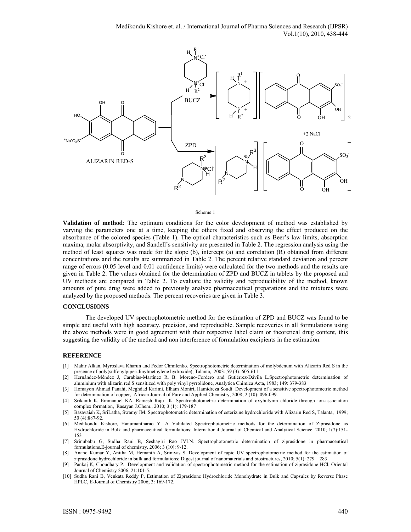Medikondu Kishore et. al. / International Journal of Pharma Sciences and Research (IJPSR) Vol.1(10), 2010, 438-444



#### Scheme 1

**Validation of method**: The optimum conditions for the color development of method was established by varying the parameters one at a time, keeping the others fixed and observing the effect produced on the absorbance of the colored species (Table 1). The optical characteristics such as Beer's law limits, absorption maxima, molar absorptivity, and Sandell's sensitivity are presented in Table 2. The regression analysis using the method of least squares was made for the slope (b), intercept (a) and correlation (R) obtained from different concentrations and the results are summarized in Table 2. The percent relative standard deviation and percent range of errors (0.05 level and 0.01 confidence limits) were calculated for the two methods and the results are given in Table 2. The values obtained for the determination of ZPD and BUCZ in tablets by the proposed and UV methods are compared in Table 2. To evaluate the validity and reproducibility of the method, known amounts of pure drug were added to previously analyze pharmaceutical preparations and the mixtures were analyzed by the proposed methods. The percent recoveries are given in Table 3.

## **CONCLUSIONS**

The developed UV spectrophotometric method for the estimation of ZPD and BUCZ was found to be simple and useful with high accuracy, precision, and reproducible. Sample recoveries in all formulations using the above methods were in good agreement with their respective label claim or theoretical drug content, this suggesting the validity of the method and non interference of formulation excipients in the estimation.

### **REFERENCE**

- [1] Mahir Alkan, Myroslava Kharun and Fedor Chmilenko. Spectrophotometric determination of molybdenum with Alizarin Red S in the presence of poly(sulfonylpiperidinylmethylene hydroxide), Talanta, 2003:;59 (3): 605-611
- [2] Hernández-Méndez J, Carabias-Martínez R, B. Moreno-Cordero and Gutiérrez-Dávila L.Spectrophotometric determination of aluminium with alizarin red S sensitized with poly vinyl pyrrolidone, Analytica Chimica Acta, 1983; 149: 379-383
- [3] Homayon Ahmad Panahi, Meghdad Karimi, Elham Moniri, Hamidreza Soudi Development of a sensitive spectrophotometric method for determination of copper, African Journal of Pure and Applied Chemistry, 2008; 2 (10): 096-099.
- [4] Srikanth K, Emmanuel KA, Ramesh Raju K. Spectrophotometric determination of oxybutynin chloride through ion-association complex formation, Rasayan J.Chem., 2010; 3 (1): 179-187
- [5] Basavaiah K, SriLatha, Swamy JM. Spectrophotometric determination of ceterizine hydrochloride with Alizarin Red S, Talanta, 1999; 50 (4):887-92.
- [6] Medikondu Kishore, Hanumantharao Y. A Validated Spectrophotometric methods for the determination of Ziprasidone as Hydrochloride in Bulk and pharmaceutical formulations: International Journal of Chemical and Analytical Science, 2010; 1(7):151- 153
- [7] Srinubabu G, Sudha Rani B, Seshagiri Rao JVLN. Spectrophotometric determination of ziprasidone in pharmaceutical formulations.E-journal of chemistry. 2006; 3 (10): 9-12.
- [8] Anand Kumar Y, Anitha M, Hemanth A, Srinivas S. Development of rapid UV spectrophotometric method for the estimation of ziprasidone hydrochloride in bulk and formulations; Digest journal of nanomaterials and biostructures, 2010; 5(1): 279 – 283
- [9] Pankaj K, Choudhary P. Development and validation of spectrophotometric method for the estimation of ziprasidone HCl, Oriental Journal of Chemistry 2006; 21:101-5.
- [10] Sudha Rani B, Venkata Reddy P, Estimation of Ziprasidone Hydrochloride Monohydrate in Bulk and Capsules by Reverse Phase HPLC, E-Journal of Chemistry 2006; 3: 169-172.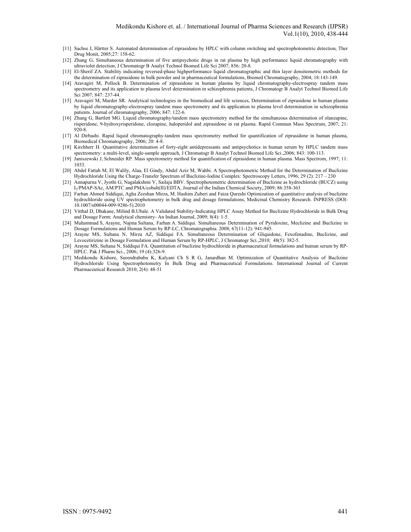- [11] Sachse J, Härtter S. Automated determination of ziprasidone by HPLC with column switching and spectrophotometric detection, Ther Drug Monit, 2005;27: 158-62.
- [12] Zhang G, Simultaneous determination of five antipsychotic drugs in rat plasma by high performance liquid chromatography with ultraviolet detection, J Chromatogr B Analyt Technol Biomed Life Sci 2007; 856: 20-8.
- [13] El-Sherif ZA. Stability indicating reversed-phase highperformance liquid chromatographic and thin layer densitometric methods for the determination of ziprasidone in bulk powder and in pharmaceutical formulations, Biomed Chromatography, 2004; 18:143-149.
- [14] Aravagiri M, Pollock B. Determination of ziprasidone in human plasma by liquid chromatography-electrospray tandem mass spectrometry and its application to plasma level determination in schizophrenia patients, J Chromatogr B Analyt Technol Biomed Life Sci 2007: 847: 237-44
- [15] Aravagiri M, Marder SR. Analytical technologies in the biomedical and life sciences, Determination of ziprasidone in human plasma by liquid chromatography-electrospray tandem mass spectrometry and its application to plasma level determination in schizophrenia patients. Journal of chromatography, 2006; 847: 122-6.
- [16] Zhang G, Bartlett MG. Liquid chromatography/tandem mass spectrometry method for the simultaneous determination of olanzapine, risperidone, 9-hydroxyrisperidone, clozapine, haloperidol and ziprasidone in rat plasma. Rapid Commun Mass Spectrum, 2007; 21:  $920 - 8$
- [17] Al Dirbashi. Rapid liquid chromatography-tandem mass spectrometry method for quantification of ziprasidone in human plasma, Biomedical Chromatography, 2006; 20: 4-8.
- [18] Kirchherr H. Quantitative determination of forty-eight antidepressants and antipsychotics in human serum by HPLC tandem mass spectrometry: a multi-level, single-sample approach, J Chromatogr B Analyt Technol Biomed Life Sci.,2006; 843: 100-113.
- [19] Janiszewski J, Schneider RP. Mass spectrometry method for quantification of ziprasidone in human plasma. Mass Spectrom, 1997; 11: 1033.
- [20] Abdel Fattah M, El Walily, Alaa, El Gindy, Abdel Aziz M, Wahbi. A Spectrophotometric Method for the Determination of Buclizine Hydrochloride Using the Charge-Transfer Spectrum of Buclizine-Iodine Complex: Spectroscopy Letters, 1996; 29 (2): 217 – 230
- [21] Annapurna V, Jyothi G, Nagalakshmi V, Sailaja BBV. Spectrophotometric determination of Buclizine as hydrochloride (BUCZ) using I2/PMAP-SAc, AM/PTC and PMA/cobalt(II)/EDTA, Journal of the Indian Chemical Society,.2009; 86:358-363
- [22] Farhan Ahmed Siddiqui, Agha Zeeshan Mirza, M. Hashim Zuberi and Faiza Qureshi Optimization of quantitative analysis of buclizine hydrochloride using UV spectrophotometry in bulk drug and dosage formulations, Medicinal Chemistry Research. INPRESS (DOI-10.1007/s00044-009-9286-5).2010
- [23] Vitthal D, Dhakane, Milind B.Ubale. A Validated Stability-Indicating HPLC Assay Method for Buclizine Hydrochloride in Bulk Drug and Dosage Form: Analytical chemistry- An Indian Journal, 2009; 8(4): 1-5.
- [24] Muhammad S, Arayne, Najma Sultana, Farhan A. Siddiqui. Simultaneous Determination of Pyridoxine, Meclizine and Buclizine in Dosage Formulations and Human Serum by RP-LC, Chromatographia. 2008; 67(11-12): 941-945.
- [25] Arayne MS, Sultana N, Mirza AZ, Siddiqui FA. Simultaneous Determination of Gliquidone, Fexofenadine, Buclizine, and Levocetirizine in Dosage Formulation and Human Serum by RP-HPLC, J Chromatogr Sci.,2010; 48(5): 382-5.
- [26] Arayne MS, Sultana N, Siddiqui FA. Quantitation of buclizine hydrochloride in pharmaceutical formulations and human serum by RP-HPLC. Pak J Pharm Sci., 2006; 19 (4):326-9.
- [27] Medikondu Kishore, Surendrababu K, Kalyani Ch S R G, Janardhan M. Optimization of Quantitative Analysis of Buclizine Hydrochloride Using Spectrophotometry In Bulk Drug and Pharmaceutical Formulations. International Journal of Current Pharmaceutical Research 2010; 2(4): 48-51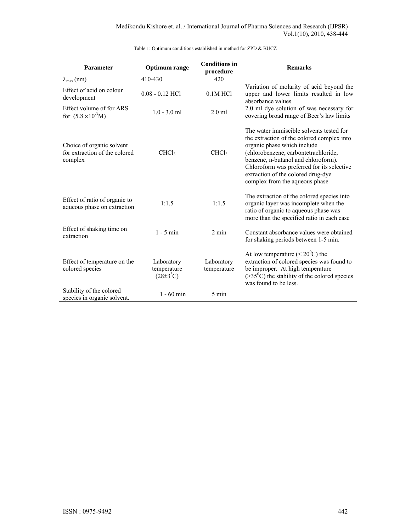| <b>Parameter</b>                                                      | <b>Optimum</b> range                             | <b>Conditions in</b><br>procedure | <b>Remarks</b>                                                                                                                                                                                                                                                                                                             |  |
|-----------------------------------------------------------------------|--------------------------------------------------|-----------------------------------|----------------------------------------------------------------------------------------------------------------------------------------------------------------------------------------------------------------------------------------------------------------------------------------------------------------------------|--|
| $\lambda_{\max}$ (nm)                                                 | 410-430                                          | 420                               |                                                                                                                                                                                                                                                                                                                            |  |
| Effect of acid on colour<br>development                               | $0.08 - 0.12$ HCl                                | $0.1M$ HCl                        | Variation of molarity of acid beyond the<br>upper and lower limits resulted in low<br>absorbance values                                                                                                                                                                                                                    |  |
| Effect volume of for ARS<br>for $(5.8 \times 10^{-3} M)$              | $1.0 - 3.0$ ml                                   | $2.0$ ml                          | 2.0 ml dye solution of was necessary for<br>covering broad range of Beer's law limits                                                                                                                                                                                                                                      |  |
| Choice of organic solvent<br>for extraction of the colored<br>complex | CHCl <sub>3</sub>                                | CHCl <sub>3</sub>                 | The water immiscible solvents tested for<br>the extraction of the colored complex into<br>organic phase which include<br>(chlorobenzene, carbontetrachloride,<br>benzene, n-butanol and chloroform).<br>Chloroform was preferred for its selective<br>extraction of the colored drug-dye<br>complex from the aqueous phase |  |
| Effect of ratio of organic to<br>aqueous phase on extraction          | 1:1.5                                            | 1:1.5                             | The extraction of the colored species into<br>organic layer was incomplete when the<br>ratio of organic to aqueous phase was<br>more than the specified ratio in each case                                                                                                                                                 |  |
| Effect of shaking time on<br>extraction                               | $1 - 5$ min                                      | $2 \text{ min}$                   | Constant absorbance values were obtained<br>for shaking periods between 1-5 min.                                                                                                                                                                                                                                           |  |
| Effect of temperature on the<br>colored species                       | Laboratory<br>temperature<br>$(28\pm3^{\circ}C)$ | Laboratory<br>temperature         | At low temperature $(< 20^{\circ}$ C) the<br>extraction of colored species was found to<br>be improper. At high temperature<br>$(>350C)$ the stability of the colored species<br>was found to be less.                                                                                                                     |  |
| Stability of the colored<br>species in organic solvent.               | $1 - 60$ min                                     | 5 min                             |                                                                                                                                                                                                                                                                                                                            |  |

Table 1: Optimum conditions established in method for ZPD & BUCZ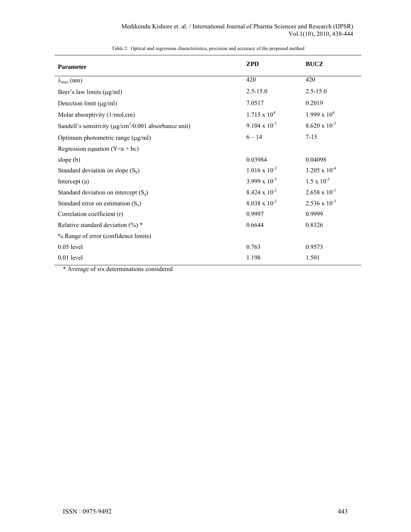| <b>Parameter</b>                                                        | <b>ZPD</b>             | <b>BUCZ</b>            |
|-------------------------------------------------------------------------|------------------------|------------------------|
| $\lambda_{\max}$ (nm)                                                   | 420                    | 420                    |
| Beer's law limits $(\mu g/ml)$                                          | $2.5 - 15.0$           | $2.5 - 15.0$           |
| Detection limit $(\mu g/ml)$                                            | 7.0517                 | 0.2019                 |
| Molar absorptivity (1/mol.cm)                                           | $1.715 \times 10^4$    | $1.999 \times 10^4$    |
| Sandell's sensitivity ( $\mu$ g/cm <sup>2</sup> /0.001 absorbance unit) | $9.104 \times 10^{-2}$ | $8.620 \times 10^{-2}$ |
| Optimum photometric range (μg/ml)                                       | $6 - 14$               | $7 - 15$               |
| Regression equation $(Y=a+bc)$                                          |                        |                        |
| slope $(b)$                                                             | 0.03984                | 0.04098                |
| Standard deviation on slope $(S_b)$                                     | $1.016 \times 10^{-2}$ | $3.205 \times 10^{-4}$ |
| Intercept $(a)$                                                         | 3.999 x $10^{-3}$      | $1.5 \times 10^{-3}$   |
| Standard deviation on intercept $(S_a)$                                 | $8.424 \times 10^{-2}$ | $2.658 \times 10^{-3}$ |
| Standard error on estimation $(S_e)$                                    | $8.038 \times 10^{-2}$ | $2.536 \times 10^{-3}$ |
| Correlation coefficient (r)                                             | 0.9997                 | 0.9999                 |
| Relative standard deviation $(\%)$ *                                    | 0.6644                 | 0.8326                 |
| % Range of error (confidence limits)                                    |                        |                        |
| $0.05$ level                                                            | 0.763                  | 0.9573                 |
| $0.01$ level                                                            | 1.198                  | 1.501                  |

Table 2: Optical and regression characteristics, precision and accuracy of the proposed method

\* Average of six determinations considered